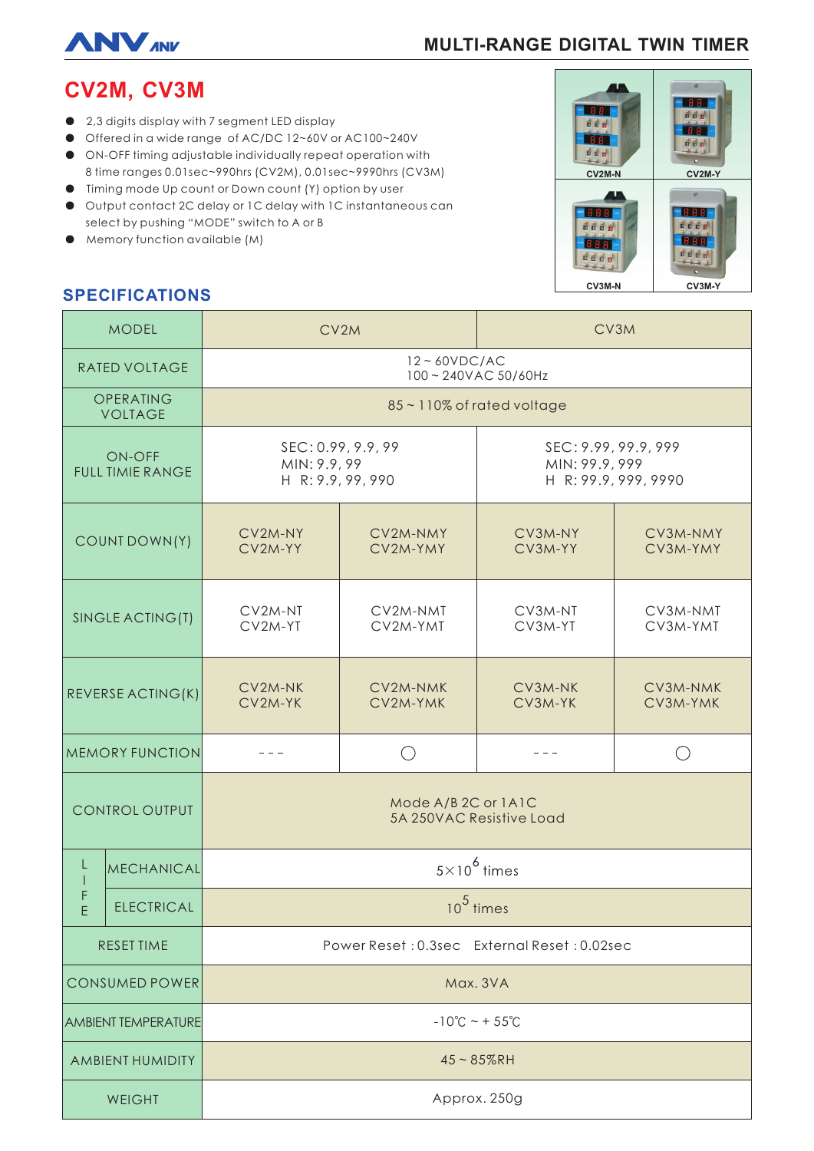

# **MULTI-RANGE DIGITAL TWIN TIMER**

# **CV2M, CV3M**

- 2,3 digits display with 7 segment LED display
- Offered in a wide range of AC/DC 12~60V or AC100~240V
- ON-OFF timing adjustable individually repeat operation with 8 time ranges 0.01sec~990hrs (CV2M), 0.01sec~9990hrs (CV3M)
- Timing mode Up count or Down count (Y) option by user
- Output contact 2C delay or 1C delay with 1C instantaneous can select by pushing "MODE" switch to A or B
- Memory function available (M)



## **SPECIFICATIONS**

| <b>MODEL</b>                             |                   | CV2M                                                    |                      | CV3M                                                           |                      |
|------------------------------------------|-------------------|---------------------------------------------------------|----------------------|----------------------------------------------------------------|----------------------|
| RATED VOLTAGE                            |                   | $12 \sim 60 VDC/AC$<br>100~240VAC 50/60Hz               |                      |                                                                |                      |
| OPERATING<br><b>VOLTAGE</b>              |                   | 85~110% of rated voltage                                |                      |                                                                |                      |
| <b>ON-OFF</b><br><b>FULL TIMIE RANGE</b> |                   | SEC: 0.99, 9.9, 99<br>MIN: 9.9, 99<br>H R: 9.9, 99, 990 |                      | SEC: 9.99, 99.9, 999<br>MIN: 99.9, 999<br>H R: 99.9, 999, 9990 |                      |
| COUNT DOWN(Y)                            |                   | CV2M-NY<br>CV2M-YY                                      | CV2M-NMY<br>CV2M-YMY | CV3M-NY<br>CV3M-YY                                             | CV3M-NMY<br>CV3M-YMY |
| SINGLE ACTING(T)                         |                   | CV2M-NT<br>CV2M-YT                                      | CV2M-NMT<br>CV2M-YMT | CV3M-NT<br>CV3M-YT                                             | CV3M-NMT<br>CV3M-YMT |
| REVERSE ACTING(K)                        |                   | CV2M-NK<br>CV2M-YK                                      | CV2M-NMK<br>CV2M-YMK | CV3M-NK<br>CV3M-YK                                             | CV3M-NMK<br>CV3M-YMK |
| <b>MEMORY FUNCTION</b>                   |                   |                                                         | $( \ )$              |                                                                |                      |
| <b>CONTROL OUTPUT</b>                    |                   | Mode A/B 2C or 1A1C<br>5A 250VAC Resistive Load         |                      |                                                                |                      |
| L<br>E                                   | <b>MECHANICAL</b> | $5\times10^6$ times                                     |                      |                                                                |                      |
|                                          | <b>ELECTRICAL</b> | $105$ times                                             |                      |                                                                |                      |
| <b>RESET TIME</b>                        |                   | Power Reset: 0.3sec External Reset: 0.02sec             |                      |                                                                |                      |
| CONSUMED POWER                           |                   | Max. 3VA                                                |                      |                                                                |                      |
| <b>AMBIENT TEMPERATURE</b>               |                   | $-10^{\circ}$ C ~ + 55 $^{\circ}$ C                     |                      |                                                                |                      |
| AMBIENT HUMIDITY                         |                   | $45 - 85%$ RH                                           |                      |                                                                |                      |
| WEIGHT                                   |                   | Approx. 250g                                            |                      |                                                                |                      |